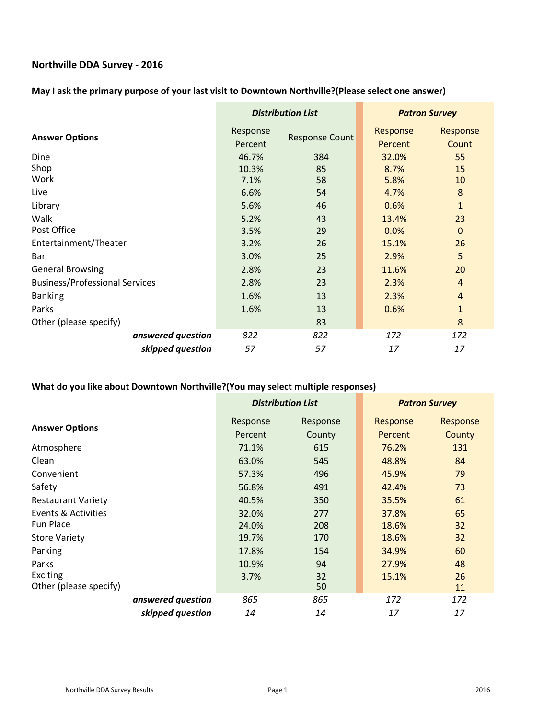# **Northville DDA Survey ‐ 2016**

## **May I ask the primary purpose of your last visit to Downtown Northville?(Please select one answer)**

|                                       | <b>Distribution List</b> |                       | <b>Patron Survey</b> |                   |
|---------------------------------------|--------------------------|-----------------------|----------------------|-------------------|
| <b>Answer Options</b>                 | Response<br>Percent      | <b>Response Count</b> | Response<br>Percent  | Response<br>Count |
| Dine                                  | 46.7%                    | 384                   | 32.0%                | 55                |
| Shop                                  | 10.3%                    | 85                    | 8.7%                 | 15                |
| Work                                  | 7.1%                     | 58                    | 5.8%                 | 10                |
| Live                                  | 6.6%                     | 54                    | 4.7%                 | 8                 |
| Library                               | 5.6%                     | 46                    | 0.6%                 | $\mathbf{1}$      |
| Walk                                  | 5.2%                     | 43                    | 13.4%                | 23                |
| Post Office                           | 3.5%                     | 29                    | 0.0%                 | $\mathbf 0$       |
| Entertainment/Theater                 | 3.2%                     | 26                    | 15.1%                | 26                |
| Bar                                   | 3.0%                     | 25                    | 2.9%                 | 5                 |
| <b>General Browsing</b>               | 2.8%                     | 23                    | 11.6%                | 20                |
| <b>Business/Professional Services</b> | 2.8%                     | 23                    | 2.3%                 | $\overline{4}$    |
| <b>Banking</b>                        | 1.6%                     | 13                    | 2.3%                 | $\overline{4}$    |
| Parks                                 | 1.6%                     | 13                    | 0.6%                 | $\mathbf{1}$      |
| Other (please specify)                |                          | 83                    |                      | 8                 |
| answered question                     | 822                      | 822                   | 172                  | 172               |
| skipped question                      | 57                       | 57                    | 17                   | 17                |

## **What do you like about Downtown Northville?(You may select multiple responses)**

|                           |                   | <b>Distribution List</b> |          | <b>Patron Survey</b> |        |
|---------------------------|-------------------|--------------------------|----------|----------------------|--------|
|                           | Response          | Response                 | Response | Response             |        |
| <b>Answer Options</b>     |                   | Percent                  | County   | Percent              | County |
| Atmosphere                |                   | 71.1%                    | 615      | 76.2%                | 131    |
| Clean                     |                   | 63.0%                    | 545      | 48.8%                | 84     |
| Convenient                |                   | 57.3%                    | 496      | 45.9%                | 79     |
| Safety                    |                   | 56.8%                    | 491      | 42.4%                | 73     |
| <b>Restaurant Variety</b> |                   | 40.5%                    | 350      | 35.5%                | 61     |
| Events & Activities       |                   | 32.0%                    | 277      | 37.8%                | 65     |
| Fun Place                 |                   | 24.0%                    | 208      | 18.6%                | 32     |
| <b>Store Variety</b>      |                   | 19.7%                    | 170      | 18.6%                | 32     |
| Parking                   |                   | 17.8%                    | 154      | 34.9%                | 60     |
| Parks                     |                   | 10.9%                    | 94       | 27.9%                | 48     |
| <b>Exciting</b>           |                   | 3.7%                     | 32       | 15.1%                | 26     |
| Other (please specify)    |                   |                          | 50       |                      | 11     |
|                           | answered question | 865                      | 865      | 172                  | 172    |
|                           | skipped question  | 14                       | 14       | 17                   | 17     |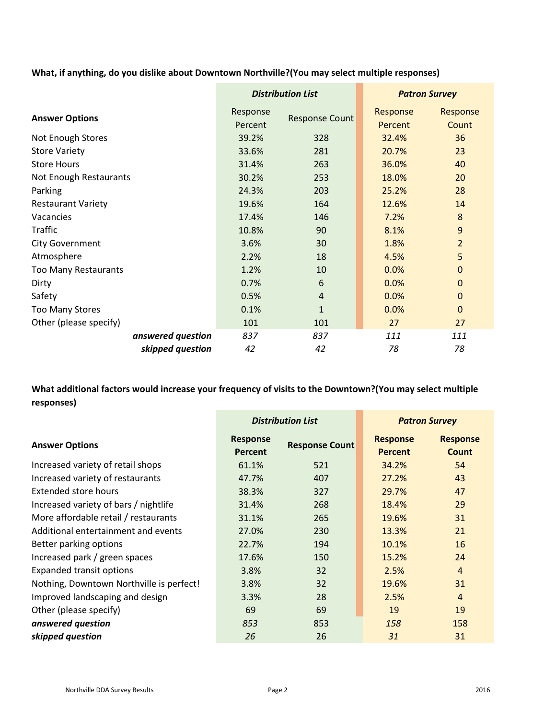**What, if anything, do you dislike about Downtown Northville?(You may select multiple responses)**

|                             | <b>Distribution List</b> |                       | <b>Patron Survey</b> |                   |
|-----------------------------|--------------------------|-----------------------|----------------------|-------------------|
| <b>Answer Options</b>       | Response<br>Percent      | <b>Response Count</b> | Response<br>Percent  | Response<br>Count |
| Not Enough Stores           | 39.2%                    | 328                   | 32.4%                | 36                |
| <b>Store Variety</b>        | 33.6%                    | 281                   | 20.7%                | 23                |
| <b>Store Hours</b>          | 31.4%                    | 263                   | 36.0%                | 40                |
| Not Enough Restaurants      | 30.2%                    | 253                   | 18.0%                | 20                |
| Parking                     | 24.3%                    | 203                   | 25.2%                | 28                |
| <b>Restaurant Variety</b>   | 19.6%                    | 164                   | 12.6%                | 14                |
| Vacancies                   | 17.4%                    | 146                   | 7.2%                 | 8                 |
| <b>Traffic</b>              | 10.8%                    | 90                    | 8.1%                 | $\overline{9}$    |
| <b>City Government</b>      | 3.6%                     | 30                    | 1.8%                 | $\overline{2}$    |
| Atmosphere                  | 2.2%                     | 18                    | 4.5%                 | 5                 |
| <b>Too Many Restaurants</b> | 1.2%                     | 10                    | 0.0%                 | $\Omega$          |
| Dirty                       | 0.7%                     | 6                     | 0.0%                 | $\Omega$          |
| Safety                      | 0.5%                     | $\overline{4}$        | 0.0%                 | $\mathbf 0$       |
| <b>Too Many Stores</b>      | 0.1%                     | $\mathbf{1}$          | 0.0%                 | $\Omega$          |
| Other (please specify)      | 101                      | 101                   | 27                   | 27                |
| answered question           | 837                      | 837                   | 111                  | 111               |
| skipped question            | 42                       | 42                    | 78                   | 78                |

**What additional factors would increase your frequency of visits to the Downtown?(You may select multiple responses)**

|                                          | <b>Distribution List</b>          |                       | <b>Patron Survey</b>              |                          |
|------------------------------------------|-----------------------------------|-----------------------|-----------------------------------|--------------------------|
| <b>Answer Options</b>                    | <b>Response</b><br><b>Percent</b> | <b>Response Count</b> | <b>Response</b><br><b>Percent</b> | <b>Response</b><br>Count |
| Increased variety of retail shops        | 61.1%                             | 521                   | 34.2%                             | 54                       |
| Increased variety of restaurants         | 47.7%                             | 407                   | 27.2%                             | 43                       |
| Extended store hours                     | 38.3%                             | 327                   | 29.7%                             | 47                       |
| Increased variety of bars / nightlife    | 31.4%                             | 268                   | 18.4%                             | 29                       |
| More affordable retail / restaurants     | 31.1%                             | 265                   | 19.6%                             | 31                       |
| Additional entertainment and events      | 27.0%                             | 230                   | 13.3%                             | 21                       |
| Better parking options                   | 22.7%                             | 194                   | 10.1%                             | 16                       |
| Increased park / green spaces            | 17.6%                             | 150                   | 15.2%                             | 24                       |
| Expanded transit options                 | 3.8%                              | 32                    | 2.5%                              | $\overline{4}$           |
| Nothing, Downtown Northville is perfect! | 3.8%                              | 32 <sup>2</sup>       | 19.6%                             | 31                       |
| Improved landscaping and design          | 3.3%                              | 28                    | 2.5%                              | $\overline{4}$           |
| Other (please specify)                   | 69                                | 69                    | 19                                | 19                       |
| answered question                        | 853                               | 853                   | 158                               | 158                      |
| skipped question                         | 26                                | 26                    | 31                                | 31                       |